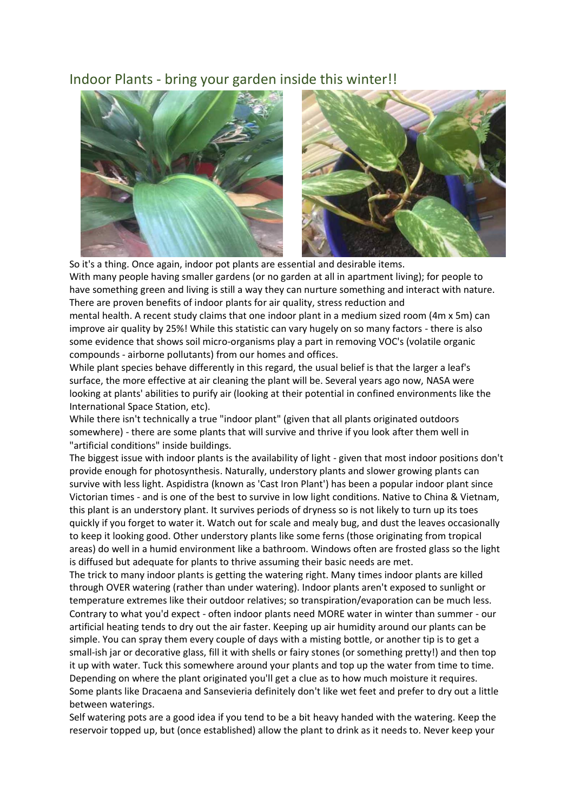## Indoor Plants - bring your garden inside this winter!!



So it's a thing. Once again, indoor pot plants are essential and desirable items. With many people having smaller gardens (or no garden at all in apartment living); for people to have something green and living is still a way they can nurture something and interact with nature. There are proven benefits of indoor plants for air quality, stress reduction and

mental health. A recent study claims that one indoor plant in a medium sized room (4m x 5m) can improve air quality by 25%! While this statistic can vary hugely on so many factors - there is also some evidence that shows soil micro-organisms play a part in removing VOC's (volatile organic compounds - airborne pollutants) from our homes and offices.

While plant species behave differently in this regard, the usual belief is that the larger a leaf's surface, the more effective at air cleaning the plant will be. Several years ago now, NASA were looking at plants' abilities to purify air (looking at their potential in confined environments like the International Space Station, etc).

While there isn't technically a true "indoor plant" (given that all plants originated outdoors somewhere) - there are some plants that will survive and thrive if you look after them well in "artificial conditions" inside buildings.

The biggest issue with indoor plants is the availability of light - given that most indoor positions don't provide enough for photosynthesis. Naturally, understory plants and slower growing plants can survive with less light. Aspidistra (known as 'Cast Iron Plant') has been a popular indoor plant since Victorian times - and is one of the best to survive in low light conditions. Native to China & Vietnam, this plant is an understory plant. It survives periods of dryness so is not likely to turn up its toes quickly if you forget to water it. Watch out for scale and mealy bug, and dust the leaves occasionally to keep it looking good. Other understory plants like some ferns (those originating from tropical areas) do well in a humid environment like a bathroom. Windows often are frosted glass so the light is diffused but adequate for plants to thrive assuming their basic needs are met.

The trick to many indoor plants is getting the watering right. Many times indoor plants are killed through OVER watering (rather than under watering). Indoor plants aren't exposed to sunlight or temperature extremes like their outdoor relatives; so transpiration/evaporation can be much less. Contrary to what you'd expect - often indoor plants need MORE water in winter than summer - our artificial heating tends to dry out the air faster. Keeping up air humidity around our plants can be simple. You can spray them every couple of days with a misting bottle, or another tip is to get a small-ish jar or decorative glass, fill it with shells or fairy stones (or something pretty!) and then top it up with water. Tuck this somewhere around your plants and top up the water from time to time. Depending on where the plant originated you'll get a clue as to how much moisture it requires. Some plants like Dracaena and Sansevieria definitely don't like wet feet and prefer to dry out a little between waterings.

Self watering pots are a good idea if you tend to be a bit heavy handed with the watering. Keep the reservoir topped up, but (once established) allow the plant to drink as it needs to. Never keep your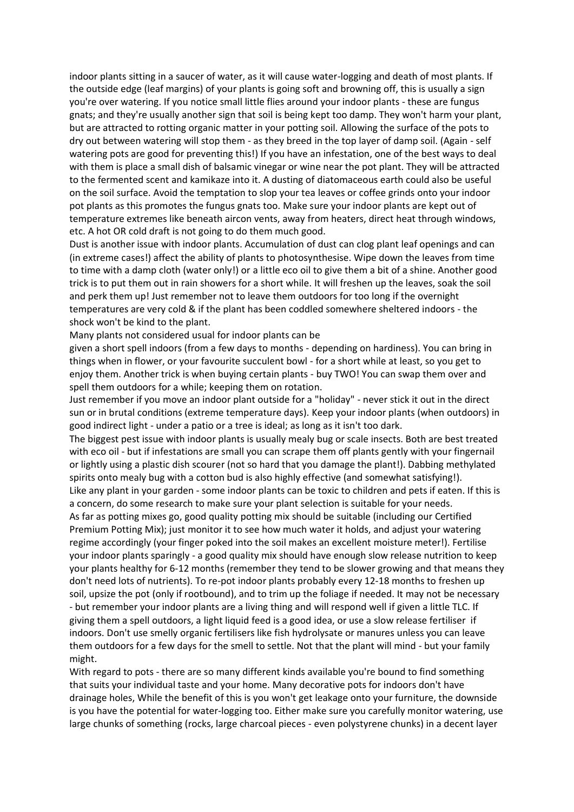indoor plants sitting in a saucer of water, as it will cause water-logging and death of most plants. If the outside edge (leaf margins) of your plants is going soft and browning off, this is usually a sign you're over watering. If you notice small little flies around your indoor plants - these are fungus gnats; and they're usually another sign that soil is being kept too damp. They won't harm your plant, but are attracted to rotting organic matter in your potting soil. Allowing the surface of the pots to dry out between watering will stop them - as they breed in the top layer of damp soil. (Again - self watering pots are good for preventing this!) If you have an infestation, one of the best ways to deal with them is place a small dish of balsamic vinegar or wine near the pot plant. They will be attracted to the fermented scent and kamikaze into it. A dusting of diatomaceous earth could also be useful on the soil surface. Avoid the temptation to slop your tea leaves or coffee grinds onto your indoor pot plants as this promotes the fungus gnats too. Make sure your indoor plants are kept out of temperature extremes like beneath aircon vents, away from heaters, direct heat through windows, etc. A hot OR cold draft is not going to do them much good.

Dust is another issue with indoor plants. Accumulation of dust can clog plant leaf openings and can (in extreme cases!) affect the ability of plants to photosynthesise. Wipe down the leaves from time to time with a damp cloth (water only!) or a little eco oil to give them a bit of a shine. Another good trick is to put them out in rain showers for a short while. It will freshen up the leaves, soak the soil and perk them up! Just remember not to leave them outdoors for too long if the overnight temperatures are very cold & if the plant has been coddled somewhere sheltered indoors - the shock won't be kind to the plant.

Many plants not considered usual for indoor plants can be

given a short spell indoors (from a few days to months - depending on hardiness). You can bring in things when in flower, or your favourite succulent bowl - for a short while at least, so you get to enjoy them. Another trick is when buying certain plants - buy TWO! You can swap them over and spell them outdoors for a while; keeping them on rotation.

Just remember if you move an indoor plant outside for a "holiday" - never stick it out in the direct sun or in brutal conditions (extreme temperature days). Keep your indoor plants (when outdoors) in good indirect light - under a patio or a tree is ideal; as long as it isn't too dark.

The biggest pest issue with indoor plants is usually mealy bug or scale insects. Both are best treated with eco oil - but if infestations are small you can scrape them off plants gently with your fingernail or lightly using a plastic dish scourer (not so hard that you damage the plant!). Dabbing methylated spirits onto mealy bug with a cotton bud is also highly effective (and somewhat satisfying!). Like any plant in your garden - some indoor plants can be toxic to children and pets if eaten. If this is a concern, do some research to make sure your plant selection is suitable for your needs.

As far as potting mixes go, good quality potting mix should be suitable (including our Certified Premium Potting Mix); just monitor it to see how much water it holds, and adjust your watering regime accordingly (your finger poked into the soil makes an excellent moisture meter!). Fertilise your indoor plants sparingly - a good quality mix should have enough slow release nutrition to keep your plants healthy for 6-12 months (remember they tend to be slower growing and that means they don't need lots of nutrients). To re-pot indoor plants probably every 12-18 months to freshen up soil, upsize the pot (only if rootbound), and to trim up the foliage if needed. It may not be necessary - but remember your indoor plants are a living thing and will respond well if given a little TLC. If giving them a spell outdoors, a light liquid feed is a good idea, or use a slow release fertiliser if indoors. Don't use smelly organic fertilisers like fish hydrolysate or manures unless you can leave them outdoors for a few days for the smell to settle. Not that the plant will mind - but your family might.

With regard to pots - there are so many different kinds available you're bound to find something that suits your individual taste and your home. Many decorative pots for indoors don't have drainage holes, While the benefit of this is you won't get leakage onto your furniture, the downside is you have the potential for water-logging too. Either make sure you carefully monitor watering, use large chunks of something (rocks, large charcoal pieces - even polystyrene chunks) in a decent layer